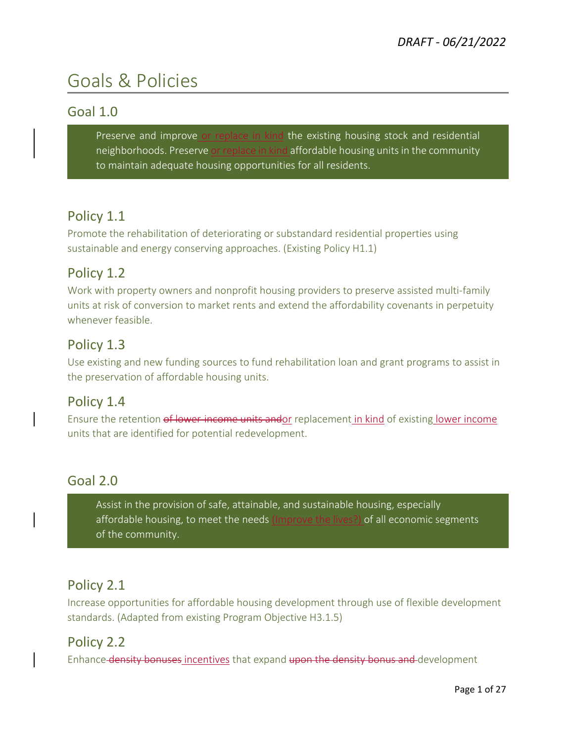# Goals & Policies

#### Goal 1.0

Preserve and improve or replace in kind the existing housing stock and residential neighborhoods. Preserve or replace in kind affordable housing units in the community to maintain adequate housing opportunities for all residents.

#### Policy 1.1

Promote the rehabilitation of deteriorating or substandard residential properties using sustainable and energy conserving approaches. (Existing Policy H1.1)

#### Policy 1.2

Work with property owners and nonprofit housing providers to preserve assisted multi-family units at risk of conversion to market rents and extend the affordability covenants in perpetuity whenever feasible.

#### Policy 1.3

Use existing and new funding sources to fund rehabilitation loan and grant programs to assist in the preservation of affordable housing units.

#### Policy 1.4

Ensure the retention of lower-income units andor replacement in kind of existing lower income units that are identified for potential redevelopment.

#### Goal 2.0

Assist in the provision of safe, attainable, and sustainable housing, especially affordable housing, to meet the needs (Improve the lives?) of all economic segments of the community.

#### Policy 2.1

Increase opportunities for affordable housing development through use of flexible development standards. (Adapted from existing Program Objective H3.1.5)

#### Policy 2.2

Enhance density bonuses incentives that expand upon the density bonus and development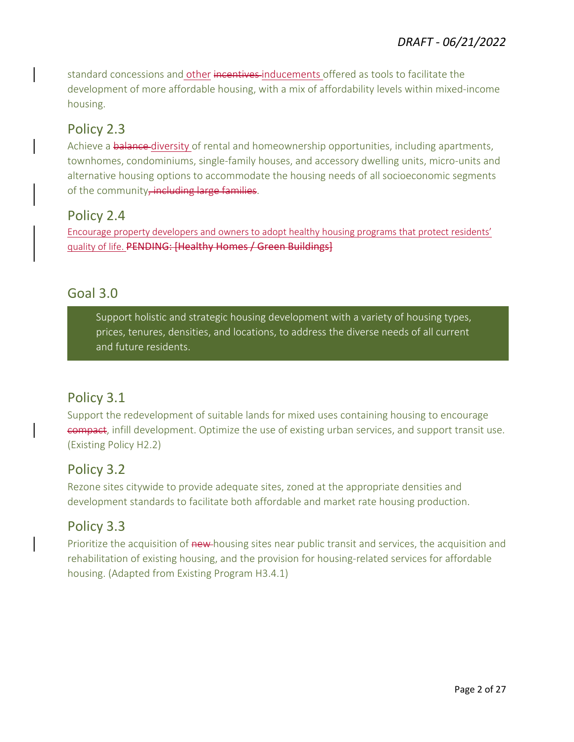standard concessions and other incentives inducements offered as tools to facilitate the development of more affordable housing, with a mix of affordability levels within mixed-income housing.

#### Policy 2.3

Achieve a **balance-diversity** of rental and homeownership opportunities, including apartments, townhomes, condominiums, single-family houses, and accessory dwelling units, micro-units and alternative housing options to accommodate the housing needs of all socioeconomic segments of the community, including large families.

#### Policy 2.4

Encourage property developers and owners to adopt healthy housing programs that protect residents' quality of life. PENDING: [Healthy Homes / Green Buildings]

#### Goal 3.0

Support holistic and strategic housing development with a variety of housing types, prices, tenures, densities, and locations, to address the diverse needs of all current and future residents.

#### Policy 3.1

Support the redevelopment of suitable lands for mixed uses containing housing to encourage compact, infill development. Optimize the use of existing urban services, and support transit use. (Existing Policy H2.2)

#### Policy 3.2

Rezone sites citywide to provide adequate sites, zoned at the appropriate densities and development standards to facilitate both affordable and market rate housing production.

#### Policy 3.3

Prioritize the acquisition of new-housing sites near public transit and services, the acquisition and rehabilitation of existing housing, and the provision for housing-related services for affordable housing. (Adapted from Existing Program H3.4.1)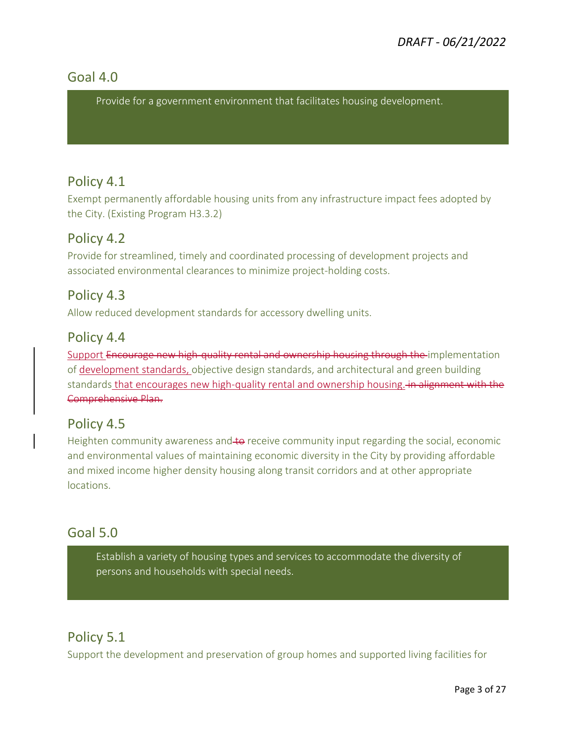#### Goal 4.0

Provide for a government environment that facilitates housing development.

#### Policy 4.1

Exempt permanently affordable housing units from any infrastructure impact fees adopted by the City. (Existing Program H3.3.2)

#### Policy 4.2

Provide for streamlined, timely and coordinated processing of development projects and associated environmental clearances to minimize project-holding costs.

#### Policy 4.3

Allow reduced development standards for accessory dwelling units.

#### Policy 4.4

Support Encourage new high-quality rental and ownership housing through the implementation of development standards, objective design standards, and architectural and green building standards that encourages new high-quality rental and ownership housing. *in alignment with the* Comprehensive Plan.

#### Policy 4.5

Heighten community awareness and to receive community input regarding the social, economic and environmental values of maintaining economic diversity in the City by providing affordable and mixed income higher density housing along transit corridors and at other appropriate locations.

#### Goal 5.0

Establish a variety of housing types and services to accommodate the diversity of persons and households with special needs.

#### Policy 5.1

Support the development and preservation of group homes and supported living facilities for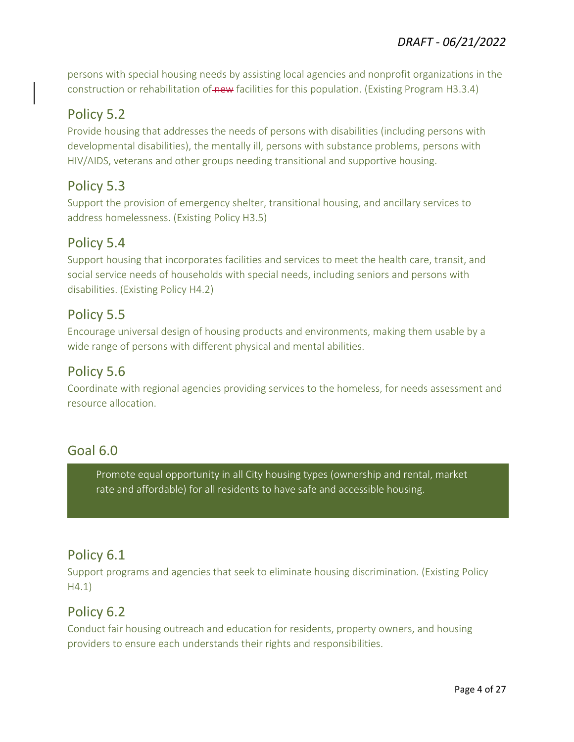persons with special housing needs by assisting local agencies and nonprofit organizations in the construction or rehabilitation of new facilities for this population. (Existing Program H3.3.4)

#### Policy 5.2

Provide housing that addresses the needs of persons with disabilities (including persons with developmental disabilities), the mentally ill, persons with substance problems, persons with HIV/AIDS, veterans and other groups needing transitional and supportive housing.

#### Policy 5.3

Support the provision of emergency shelter, transitional housing, and ancillary services to address homelessness. (Existing Policy H3.5)

#### Policy 5.4

Support housing that incorporates facilities and services to meet the health care, transit, and social service needs of households with special needs, including seniors and persons with disabilities. (Existing Policy H4.2)

#### Policy 5.5

Encourage universal design of housing products and environments, making them usable by a wide range of persons with different physical and mental abilities.

#### Policy 5.6

Coordinate with regional agencies providing services to the homeless, for needs assessment and resource allocation.

#### Goal 6.0

Promote equal opportunity in all City housing types (ownership and rental, market rate and affordable) for all residents to have safe and accessible housing.

#### Policy 6.1

Support programs and agencies that seek to eliminate housing discrimination. (Existing Policy H4.1)

#### Policy 6.2

Conduct fair housing outreach and education for residents, property owners, and housing providers to ensure each understands their rights and responsibilities.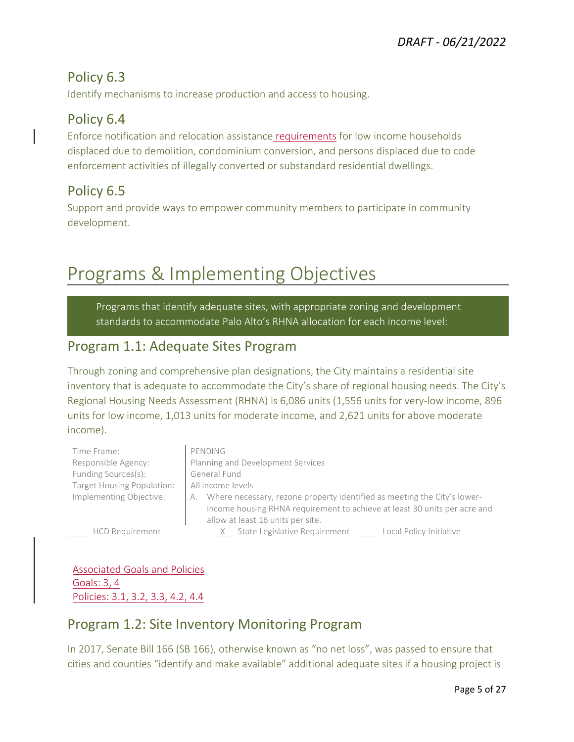#### Policy 6.3

Identify mechanisms to increase production and access to housing.

#### Policy 6.4

Enforce notification and relocation assistance requirements for low income households displaced due to demolition, condominium conversion, and persons displaced due to code enforcement activities of illegally converted or substandard residential dwellings.

#### Policy 6.5

Support and provide ways to empower community members to participate in community development.

# Programs & Implementing Objectives

Programs that identify adequate sites, with appropriate zoning and development standards to accommodate Palo Alto's RHNA allocation for each income level:

#### Program 1.1: Adequate Sites Program

Through zoning and comprehensive plan designations, the City maintains a residential site inventory that is adequate to accommodate the City's share of regional housing needs. The City's Regional Housing Needs Assessment (RHNA) is 6,086 units (1,556 units for very-low income, 896 units for low income, 1,013 units for moderate income, and 2,621 units for above moderate income).

| Time Frame:                | PENDING                                                                     |
|----------------------------|-----------------------------------------------------------------------------|
| Responsible Agency:        | Planning and Development Services                                           |
| Funding Sources(s):        | General Fund                                                                |
| Target Housing Population: | All income levels                                                           |
| Implementing Objective:    | A. Where necessary, rezone property identified as meeting the City's lower- |
|                            | income housing RHNA requirement to achieve at least 30 units per acre and   |
|                            | allow at least 16 units per site.                                           |

HCD Requirement The Manusta State Legislative Requirement The Local Policy Initiative

Associated Goals and Policies Goals: 3, 4 Policies: 3.1, 3.2, 3.3, 4.2, 4.4

#### Program 1.2: Site Inventory Monitoring Program

In 2017, Senate Bill 166 (SB 166), otherwise known as "no net loss", was passed to ensure that cities and counties "identify and make available" additional adequate sites if a housing project is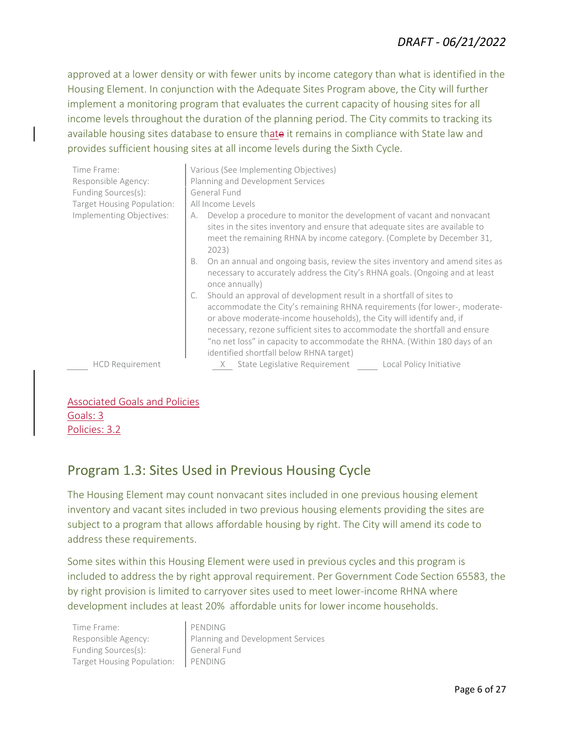#### *DRAFT - 06/21/2022*

approved at a lower density or with fewer units by income category than what is identified in the Housing Element. In conjunction with the Adequate Sites Program above, the City will further implement a monitoring program that evaluates the current capacity of housing sites for all income levels throughout the duration of the planning period. The City commits to tracking its available housing sites database to ensure thate it remains in compliance with State law and provides sufficient housing sites at all income levels during the Sixth Cycle.

| Time Frame:<br>Responsible Agency:<br>Funding Sources(s): | Various (See Implementing Objectives)<br>Planning and Development Services<br>General Fund                                                                                                                                            |
|-----------------------------------------------------------|---------------------------------------------------------------------------------------------------------------------------------------------------------------------------------------------------------------------------------------|
| Target Housing Population:                                | All Income Levels                                                                                                                                                                                                                     |
| Implementing Objectives:                                  | Develop a procedure to monitor the development of vacant and nonvacant<br>А.<br>sites in the sites inventory and ensure that adequate sites are available to<br>meet the remaining RHNA by income category. (Complete by December 31, |
|                                                           | 2023)                                                                                                                                                                                                                                 |
|                                                           | On an annual and ongoing basis, review the sites inventory and amend sites as<br>В.<br>necessary to accurately address the City's RHNA goals. (Ongoing and at least<br>once annually)                                                 |
|                                                           | Should an approval of development result in a shortfall of sites to<br>C.                                                                                                                                                             |
|                                                           | accommodate the City's remaining RHNA requirements (for lower-, moderate-<br>or above moderate-income households), the City will identify and, if                                                                                     |
|                                                           | necessary, rezone sufficient sites to accommodate the shortfall and ensure                                                                                                                                                            |
|                                                           | "no net loss" in capacity to accommodate the RHNA. (Within 180 days of an                                                                                                                                                             |
|                                                           | identified shortfall below RHNA target)                                                                                                                                                                                               |
| <b>HCD Requirement</b>                                    | State Legislative Requirement<br>Local Policy Initiative                                                                                                                                                                              |

#### Associated Goals and Policies Goals: 3 Policies: 3.2

#### Program 1.3: Sites Used in Previous Housing Cycle

The Housing Element may count nonvacant sites included in one previous housing element inventory and vacant sites included in two previous housing elements providing the sites are subject to a program that allows affordable housing by right. The City will amend its code to address these requirements.

Some sites within this Housing Element were used in previous cycles and this program is included to address the by right approval requirement. Per Government Code Section 65583, the by right provision is limited to carryover sites used to meet lower-income RHNA where development includes at least 20% affordable units for lower income households.

Time Frame: PENDING Funding Sources(s): **General Fund** Target Housing Population: PENDING

Responsible Agency: **Planning and Development Services**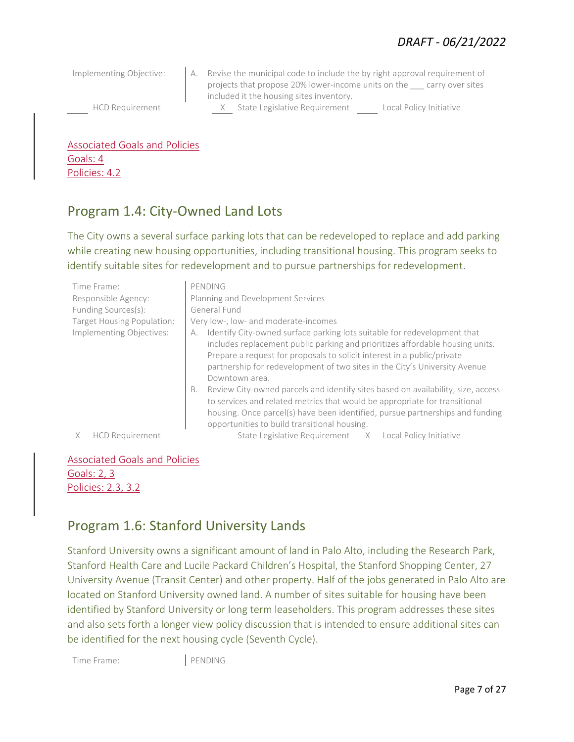Implementing Objective: A. Revise the municipal code to include the by right approval requirement of projects that propose 20% lower-income units on the \_\_\_ carry over sites included it the housing sites inventory. HCD Requirement X State Legislative Requirement Local Policy Initiative

Associated Goals and Policies Goals: 4 Policies: 4.2

#### Program 1.4: City-Owned Land Lots

The City owns a several surface parking lots that can be redeveloped to replace and add parking while creating new housing opportunities, including transitional housing. This program seeks to identify suitable sites for redevelopment and to pursue partnerships for redevelopment.

| Time Frame:<br>Responsible Agency:<br>Funding Sources(s): | PENDING<br>Planning and Development Services<br>General Fund                                                                                                                                                                                                                                                                               |
|-----------------------------------------------------------|--------------------------------------------------------------------------------------------------------------------------------------------------------------------------------------------------------------------------------------------------------------------------------------------------------------------------------------------|
| Target Housing Population:                                | Very low-, low- and moderate-incomes                                                                                                                                                                                                                                                                                                       |
| Implementing Objectives:                                  | Identify City-owned surface parking lots suitable for redevelopment that<br>А.<br>includes replacement public parking and prioritizes affordable housing units.<br>Prepare a request for proposals to solicit interest in a public/private<br>partnership for redevelopment of two sites in the City's University Avenue<br>Downtown area. |
|                                                           | Review City-owned parcels and identify sites based on availability, size, access<br>В.<br>to services and related metrics that would be appropriate for transitional<br>housing. Once parcel(s) have been identified, pursue partnerships and funding<br>opportunities to build transitional housing.                                      |
| <b>HCD Requirement</b>                                    | State Legislative Requirement X Local Policy Initiative                                                                                                                                                                                                                                                                                    |

Associated Goals and Policies Goals: 2, 3 Policies: 2.3, 3.2

#### Program 1.6: Stanford University Lands

Stanford University owns a significant amount of land in Palo Alto, including the Research Park, Stanford Health Care and Lucile Packard Children's Hospital, the Stanford Shopping Center, 27 University Avenue (Transit Center) and other property. Half of the jobs generated in Palo Alto are located on Stanford University owned land. A number of sites suitable for housing have been identified by Stanford University or long term leaseholders. This program addresses these sites and also sets forth a longer view policy discussion that is intended to ensure additional sites can be identified for the next housing cycle (Seventh Cycle).

Time Frame: PENDING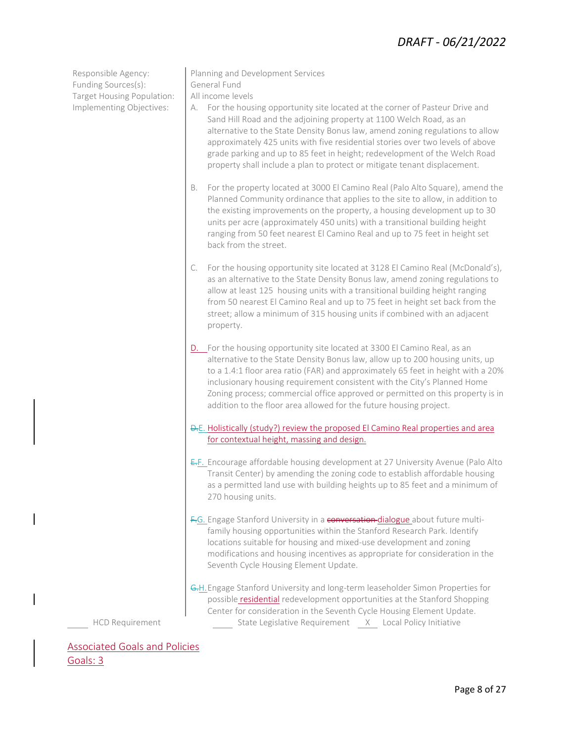#### *DRAFT - 06/21/2022*

Funding Sources(s): General Fund Target Housing Population: | All income levels

- Responsible Agency: Planning and Development Services
	-
- Implementing Objectives: | A. For the housing opportunity site located at the corner of Pasteur Drive and Sand Hill Road and the adjoining property at 1100 Welch Road, as an alternative to the State Density Bonus law, amend zoning regulations to allow approximately 425 units with five residential stories over two levels of above grade parking and up to 85 feet in height; redevelopment of the Welch Road property shall include a plan to protect or mitigate tenant displacement.
	- B. For the property located at 3000 El Camino Real (Palo Alto Square), amend the Planned Community ordinance that applies to the site to allow, in addition to the existing improvements on the property, a housing development up to 30 units per acre (approximately 450 units) with a transitional building height ranging from 50 feet nearest El Camino Real and up to 75 feet in height set back from the street.
	- C. For the housing opportunity site located at 3128 El Camino Real (McDonald's), as an alternative to the State Density Bonus law, amend zoning regulations to allow at least 125 housing units with a transitional building height ranging from 50 nearest El Camino Real and up to 75 feet in height set back from the street; allow a minimum of 315 housing units if combined with an adjacent property.
	- D. For the housing opportunity site located at 3300 El Camino Real, as an alternative to the State Density Bonus law, allow up to 200 housing units, up to a 1.4:1 floor area ratio (FAR) and approximately 65 feet in height with a 20% inclusionary housing requirement consistent with the City's Planned Home Zoning process; commercial office approved or permitted on this property is in addition to the floor area allowed for the future housing project.
	- D.E. Holistically (study?) review the proposed El Camino Real properties and area for contextual height, massing and design.
	- E.F. Encourage affordable housing development at 27 University Avenue (Palo Alto Transit Center) by amending the zoning code to establish affordable housing as a permitted land use with building heights up to 85 feet and a minimum of 270 housing units.
	- F.G. Engage Stanford University in a conversation dialogue about future multifamily housing opportunities within the Stanford Research Park. Identify locations suitable for housing and mixed-use development and zoning modifications and housing incentives as appropriate for consideration in the Seventh Cycle Housing Element Update.
	- G.H.Engage Stanford University and long-term leaseholder Simon Properties for possible residential redevelopment opportunities at the Stanford Shopping Center for consideration in the Seventh Cycle Housing Element Update. HCD Requirement State Legislative Requirement X Local Policy Initiative

Associated Goals and Policies Goals: 3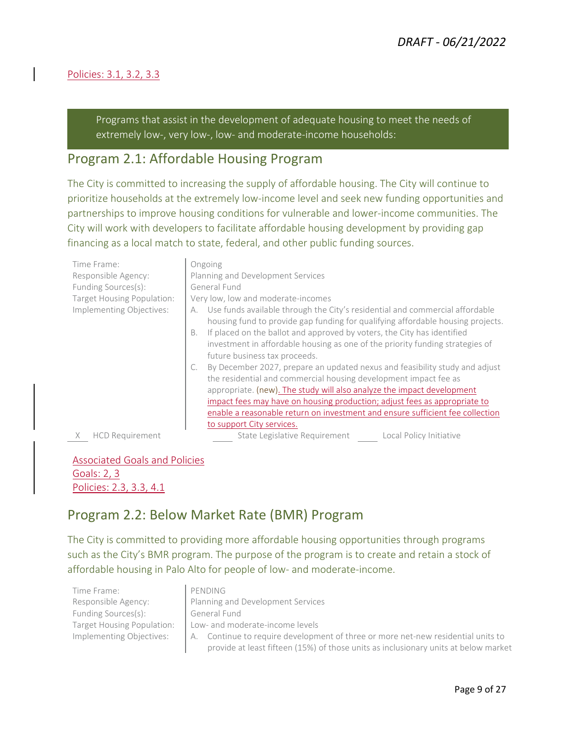#### Policies: 3.1, 3.2, 3.3

Programs that assist in the development of adequate housing to meet the needs of extremely low-, very low-, low- and moderate-income households:

#### Program 2.1: Affordable Housing Program

The City is committed to increasing the supply of affordable housing. The City will continue to prioritize households at the extremely low-income level and seek new funding opportunities and partnerships to improve housing conditions for vulnerable and lower-income communities. The City will work with developers to facilitate affordable housing development by providing gap financing as a local match to state, federal, and other public funding sources.

| Time Frame:                 | Ongoing                                                                                                                                                                                                                                                                                                                                                                                                                                                                                                                                                                                                      |
|-----------------------------|--------------------------------------------------------------------------------------------------------------------------------------------------------------------------------------------------------------------------------------------------------------------------------------------------------------------------------------------------------------------------------------------------------------------------------------------------------------------------------------------------------------------------------------------------------------------------------------------------------------|
| Responsible Agency:         | Planning and Development Services                                                                                                                                                                                                                                                                                                                                                                                                                                                                                                                                                                            |
| Funding Sources(s):         | General Fund                                                                                                                                                                                                                                                                                                                                                                                                                                                                                                                                                                                                 |
| Target Housing Population:  | Very low, low and moderate-incomes                                                                                                                                                                                                                                                                                                                                                                                                                                                                                                                                                                           |
| Implementing Objectives:    | Use funds available through the City's residential and commercial affordable<br>А.<br>housing fund to provide gap funding for qualifying affordable housing projects.<br>If placed on the ballot and approved by voters, the City has identified<br><b>B.</b><br>investment in affordable housing as one of the priority funding strategies of<br>future business tax proceeds.<br>By December 2027, prepare an updated nexus and feasibility study and adjust<br>the residential and commercial housing development impact fee as<br>appropriate. (new). The study will also analyze the impact development |
|                             | impact fees may have on housing production; adjust fees as appropriate to                                                                                                                                                                                                                                                                                                                                                                                                                                                                                                                                    |
|                             | enable a reasonable return on investment and ensure sufficient fee collection                                                                                                                                                                                                                                                                                                                                                                                                                                                                                                                                |
|                             | to support City services.                                                                                                                                                                                                                                                                                                                                                                                                                                                                                                                                                                                    |
| <b>HCD Requirement</b><br>X | State Legislative Requirement<br>Local Policy Initiative                                                                                                                                                                                                                                                                                                                                                                                                                                                                                                                                                     |

Associated Goals and Policies Goals: 2, 3 Policies: 2.3, 3.3, 4.1

#### Program 2.2: Below Market Rate (BMR) Program

The City is committed to providing more affordable housing opportunities through programs such as the City's BMR program. The purpose of the program is to create and retain a stock of affordable housing in Palo Alto for people of low- and moderate-income.

Time Frame: PENDING Funding Sources(s): General Fund

## Responsible Agency: <br> Planning and Development Services Target Housing Population: | Low- and moderate-income levels

Implementing Objectives: A. Continue to require development of three or more net-new residential units to provide at least fifteen (15%) of those units as inclusionary units at below market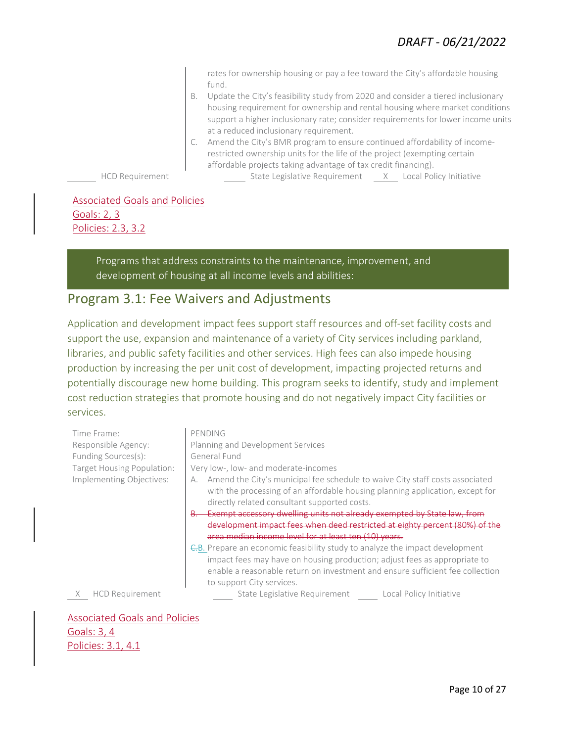rates for ownership housing or pay a fee toward the City's affordable housing fund.

- B. Update the City's feasibility study from 2020 and consider a tiered inclusionary housing requirement for ownership and rental housing where market conditions support a higher inclusionary rate; consider requirements for lower income units at a reduced inclusionary requirement.
- C. Amend the City's BMR program to ensure continued affordability of incomerestricted ownership units for the life of the project (exempting certain affordable projects taking advantage of tax credit financing).

HCD Requirement State Legislative Requirement X Local Policy Initiative

Associated Goals and Policies Goals: 2, 3 Policies: 2.3, 3.2

> Programs that address constraints to the maintenance, improvement, and development of housing at all income levels and abilities:

#### Program 3.1: Fee Waivers and Adjustments

Application and development impact fees support staff resources and off-set facility costs and support the use, expansion and maintenance of a variety of City services including parkland, libraries, and public safety facilities and other services. High fees can also impede housing production by increasing the per unit cost of development, impacting projected returns and potentially discourage new home building. This program seeks to identify, study and implement cost reduction strategies that promote housing and do not negatively impact City facilities or services.

| Time Frame:                   | PENDING                                                                                                                                                                                                             |
|-------------------------------|---------------------------------------------------------------------------------------------------------------------------------------------------------------------------------------------------------------------|
| Responsible Agency:           | Planning and Development Services                                                                                                                                                                                   |
| Funding Sources(s):           | General Fund                                                                                                                                                                                                        |
| Target Housing Population:    | Very low-, low- and moderate-incomes                                                                                                                                                                                |
| Implementing Objectives:      | Amend the City's municipal fee schedule to waive City staff costs associated<br>А.<br>with the processing of an affordable housing planning application, except for<br>directly related consultant supported costs. |
|                               | Exempt accessory dwelling units not already exempted by State law, from                                                                                                                                             |
|                               | development impact fees when deed restricted at eighty percent (80%) of the                                                                                                                                         |
|                               | area median income level for at least ten (10) years.                                                                                                                                                               |
|                               | <del>C.</del> B. Prepare an economic feasibility study to analyze the impact development                                                                                                                            |
|                               | impact fees may have on housing production; adjust fees as appropriate to<br>enable a reasonable return on investment and ensure sufficient fee collection<br>to support City services.                             |
| <b>HCD Requirement</b>        | State Legislative Requirement Local Policy Initiative                                                                                                                                                               |
|                               |                                                                                                                                                                                                                     |
| Associated Goals and Policies |                                                                                                                                                                                                                     |

#### Associated Goals and Policies Goals: 3, 4 Policies: 3.1, 4.1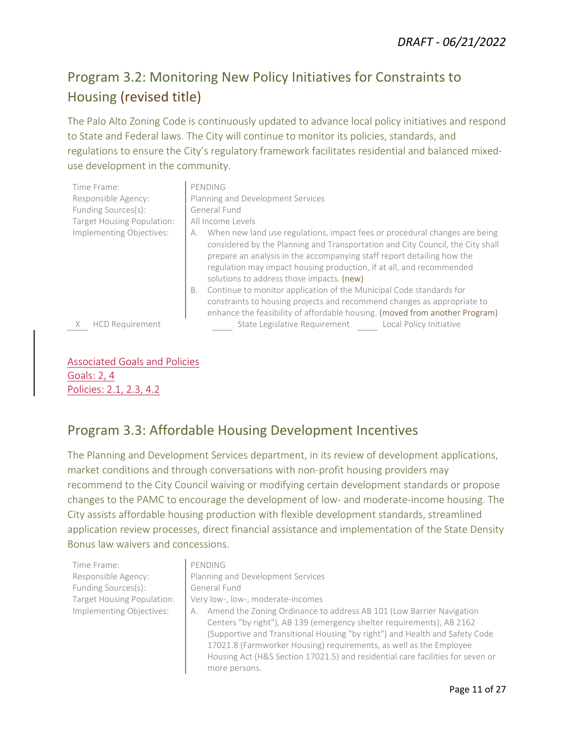## Program 3.2: Monitoring New Policy Initiatives for Constraints to Housing (revised title)

The Palo Alto Zoning Code is continuously updated to advance local policy initiatives and respond to State and Federal laws. The City will continue to monitor its policies, standards, and regulations to ensure the City's regulatory framework facilitates residential and balanced mixeduse development in the community.

| Time Frame:                | PENDING                                                                                                                                                                                                                                                                                                                                                                                                                                                                                                                                                                                                  |
|----------------------------|----------------------------------------------------------------------------------------------------------------------------------------------------------------------------------------------------------------------------------------------------------------------------------------------------------------------------------------------------------------------------------------------------------------------------------------------------------------------------------------------------------------------------------------------------------------------------------------------------------|
| Responsible Agency:        | Planning and Development Services                                                                                                                                                                                                                                                                                                                                                                                                                                                                                                                                                                        |
| Funding Sources(s):        | General Fund                                                                                                                                                                                                                                                                                                                                                                                                                                                                                                                                                                                             |
| Target Housing Population: | All Income Levels                                                                                                                                                                                                                                                                                                                                                                                                                                                                                                                                                                                        |
| Implementing Objectives:   | When new land use regulations, impact fees or procedural changes are being<br>А.<br>considered by the Planning and Transportation and City Council, the City shall<br>prepare an analysis in the accompanying staff report detailing how the<br>regulation may impact housing production, if at all, and recommended<br>solutions to address those impacts. (new)<br>Continue to monitor application of the Municipal Code standards for<br>В.<br>constraints to housing projects and recommend changes as appropriate to<br>enhance the feasibility of affordable housing. (moved from another Program) |
| <b>HCD Requirement</b>     | State Legislative Requirement<br>Local Policy Initiative                                                                                                                                                                                                                                                                                                                                                                                                                                                                                                                                                 |

Associated Goals and Policies Goals: 2, 4 Policies: 2.1, 2.3, 4.2

#### Program 3.3: Affordable Housing Development Incentives

The Planning and Development Services department, in its review of development applications, market conditions and through conversations with non-profit housing providers may recommend to the City Council waiving or modifying certain development standards or propose changes to the PAMC to encourage the development of low- and moderate-income housing. The City assists affordable housing production with flexible development standards, streamlined application review processes, direct financial assistance and implementation of the State Density Bonus law waivers and concessions.

Time Frame: PENDING Funding Sources(s): General Fund

# Responsible Agency: Planning and Development Services Target Housing Population: Very low-, low-, moderate-incomes

Implementing Objectives: A. Amend the Zoning Ordinance to address AB 101 (Low Barrier Navigation Centers "by right"), AB 139 (emergency shelter requirements), AB 2162 (Supportive and Transitional Housing "by right") and Health and Safety Code 17021.8 (Farmworker Housing) requirements, as well as the Employee Housing Act (H&S Section 17021.5) and residential care facilities for seven or more persons.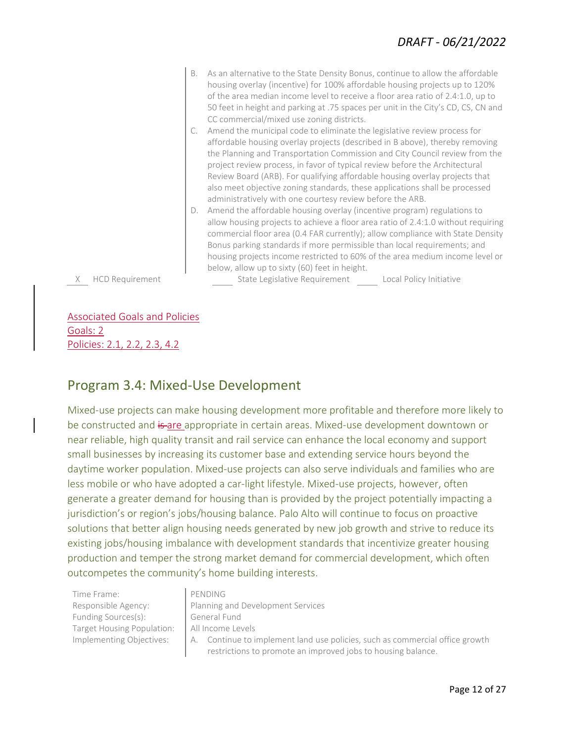- B. As an alternative to the State Density Bonus, continue to allow the affordable housing overlay (incentive) for 100% affordable housing projects up to 120% of the area median income level to receive a floor area ratio of 2.4:1.0, up to 50 feet in height and parking at .75 spaces per unit in the City's CD, CS, CN and CC commercial/mixed use zoning districts.
- C. Amend the municipal code to eliminate the legislative review process for affordable housing overlay projects (described in B above), thereby removing the Planning and Transportation Commission and City Council review from the project review process, in favor of typical review before the Architectural Review Board (ARB). For qualifying affordable housing overlay projects that also meet objective zoning standards, these applications shall be processed administratively with one courtesy review before the ARB.
- D. Amend the affordable housing overlay (incentive program) regulations to allow housing projects to achieve a floor area ratio of 2.4:1.0 without requiring commercial floor area (0.4 FAR currently); allow compliance with State Density Bonus parking standards if more permissible than local requirements; and housing projects income restricted to 60% of the area medium income level or below, allow up to sixty (60) feet in height.

X HCD Requirement State Legislative Requirement Local Policy Initiative

Associated Goals and Policies Goals: 2 Policies: 2.1, 2.2, 2.3, 4.2

#### Program 3.4: Mixed-Use Development

Mixed-use projects can make housing development more profitable and therefore more likely to be constructed and is are appropriate in certain areas. Mixed-use development downtown or near reliable, high quality transit and rail service can enhance the local economy and support small businesses by increasing its customer base and extending service hours beyond the daytime worker population. Mixed-use projects can also serve individuals and families who are less mobile or who have adopted a car-light lifestyle. Mixed-use projects, however, often generate a greater demand for housing than is provided by the project potentially impacting a jurisdiction's or region's jobs/housing balance. Palo Alto will continue to focus on proactive solutions that better align housing needs generated by new job growth and strive to reduce its existing jobs/housing imbalance with development standards that incentivize greater housing production and temper the strong market demand for commercial development, which often outcompetes the community's home building interests.

Time Frame: PENDING Funding Sources(s): General Fund Target Housing Population: | All Income Levels

# Responsible Agency: Planning and Development Services

Implementing Objectives: A. Continue to implement land use policies, such as commercial office growth restrictions to promote an improved jobs to housing balance.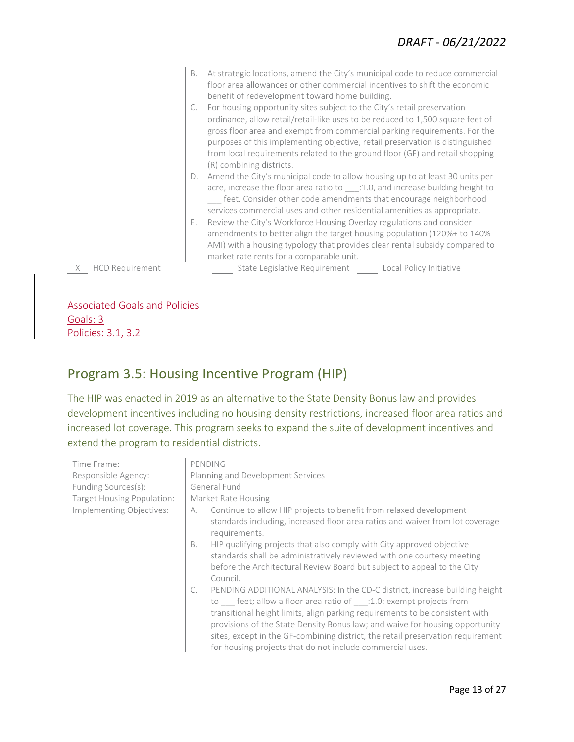- B. At strategic locations, amend the City's municipal code to reduce commercial floor area allowances or other commercial incentives to shift the economic benefit of redevelopment toward home building.
- C. For housing opportunity sites subject to the City's retail preservation ordinance, allow retail/retail-like uses to be reduced to 1,500 square feet of gross floor area and exempt from commercial parking requirements. For the purposes of this implementing objective, retail preservation is distinguished from local requirements related to the ground floor (GF) and retail shopping (R) combining districts.
- D. Amend the City's municipal code to allow housing up to at least 30 units per acre, increase the floor area ratio to \_\_\_: 1.0, and increase building height to feet. Consider other code amendments that encourage neighborhood services commercial uses and other residential amenities as appropriate.
- E. Review the City's Workforce Housing Overlay regulations and consider amendments to better align the target housing population (120%+ to 140% AMI) with a housing typology that provides clear rental subsidy compared to market rate rents for a comparable unit.

X HCD Requirement State Legislative Requirement Local Policy Initiative

Associated Goals and Policies Goals: 3 Policies: 3.1, 3.2

#### Program 3.5: Housing Incentive Program (HIP)

The HIP was enacted in 2019 as an alternative to the State Density Bonus law and provides development incentives including no housing density restrictions, increased floor area ratios and increased lot coverage. This program seeks to expand the suite of development incentives and extend the program to residential districts.

| Time Frame:                | PENDING                                                                                                                                                                                                                                                                                                                                                                                                                                                                     |  |
|----------------------------|-----------------------------------------------------------------------------------------------------------------------------------------------------------------------------------------------------------------------------------------------------------------------------------------------------------------------------------------------------------------------------------------------------------------------------------------------------------------------------|--|
| Responsible Agency:        | Planning and Development Services                                                                                                                                                                                                                                                                                                                                                                                                                                           |  |
| Funding Sources(s):        | General Fund                                                                                                                                                                                                                                                                                                                                                                                                                                                                |  |
| Target Housing Population: | Market Rate Housing                                                                                                                                                                                                                                                                                                                                                                                                                                                         |  |
| Implementing Objectives:   | Continue to allow HIP projects to benefit from relaxed development<br>А.<br>standards including, increased floor area ratios and waiver from lot coverage<br>requirements.                                                                                                                                                                                                                                                                                                  |  |
|                            | HIP qualifying projects that also comply with City approved objective<br>В.<br>standards shall be administratively reviewed with one courtesy meeting<br>before the Architectural Review Board but subject to appeal to the City<br>Council.                                                                                                                                                                                                                                |  |
|                            | PENDING ADDITIONAL ANALYSIS: In the CD-C district, increase building height<br>C.<br>to ___ feet; allow a floor area ratio of ___:1.0; exempt projects from<br>transitional height limits, align parking requirements to be consistent with<br>provisions of the State Density Bonus law; and waive for housing opportunity<br>sites, except in the GF-combining district, the retail preservation requirement<br>for housing projects that do not include commercial uses. |  |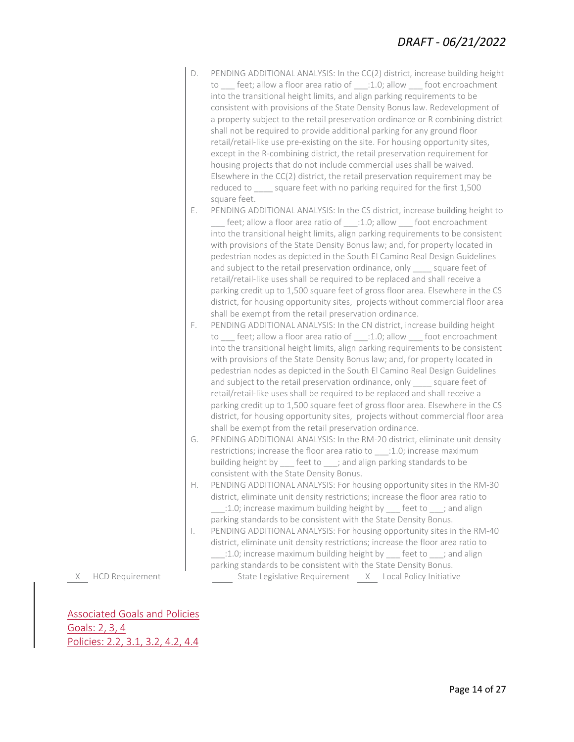| PENDING ADDITIONAL ANALYSIS: In the CC(2) district, increase building height    |
|---------------------------------------------------------------------------------|
| to ___ feet; allow a floor area ratio of ___:1.0; allow ___ foot encroachment   |
| into the transitional height limits, and align parking requirements to be       |
| consistent with provisions of the State Density Bonus law. Redevelopment of     |
| a property subject to the retail preservation ordinance or R combining district |
| shall not be required to provide additional parking for any ground floor        |
| retail/retail-like use pre-existing on the site. For housing opportunity sites, |
| except in the R-combining district, the retail preservation requirement for     |
| housing projects that do not include commercial uses shall be waived.           |
| Elsewhere in the CC(2) district, the retail preservation requirement may be     |
| reduced to square feet with no parking required for the first 1,500             |
| square feet.                                                                    |

- E. PENDING ADDITIONAL ANALYSIS: In the CS district, increase building height to feet; allow a floor area ratio of :1.0; allow foot encroachment into the transitional height limits, align parking requirements to be consistent with provisions of the State Density Bonus law; and, for property located in pedestrian nodes as depicted in the South El Camino Real Design Guidelines and subject to the retail preservation ordinance, only square feet of retail/retail-like uses shall be required to be replaced and shall receive a parking credit up to 1,500 square feet of gross floor area. Elsewhere in the CS district, for housing opportunity sites, projects without commercial floor area shall be exempt from the retail preservation ordinance.
- F. PENDING ADDITIONAL ANALYSIS: In the CN district, increase building height to \_\_\_ feet; allow a floor area ratio of \_\_\_:1.0; allow \_\_\_ foot encroachment into the transitional height limits, align parking requirements to be consistent with provisions of the State Density Bonus law; and, for property located in pedestrian nodes as depicted in the South El Camino Real Design Guidelines and subject to the retail preservation ordinance, only square feet of retail/retail-like uses shall be required to be replaced and shall receive a parking credit up to 1,500 square feet of gross floor area. Elsewhere in the CS district, for housing opportunity sites, projects without commercial floor area shall be exempt from the retail preservation ordinance.
- G. PENDING ADDITIONAL ANALYSIS: In the RM-20 district, eliminate unit density restrictions; increase the floor area ratio to \_\_\_:1.0; increase maximum building height by feet to ; and align parking standards to be consistent with the State Density Bonus.
- H. PENDING ADDITIONAL ANALYSIS: For housing opportunity sites in the RM-30 district, eliminate unit density restrictions; increase the floor area ratio to 1.0; increase maximum building height by steed to stand align parking standards to be consistent with the State Density Bonus.
- I. PENDING ADDITIONAL ANALYSIS: For housing opportunity sites in the RM-40 district, eliminate unit density restrictions; increase the floor area ratio to \_\_\_:1.0; increase maximum building height by \_\_\_ feet to \_\_\_; and align

parking standards to be consistent with the State Density Bonus. X HCD Requirement State Legislative Requirement X Local Policy Initiative

Associated Goals and Policies Goals: 2, 3, 4 Policies: 2.2, 3.1, 3.2, 4.2, 4.4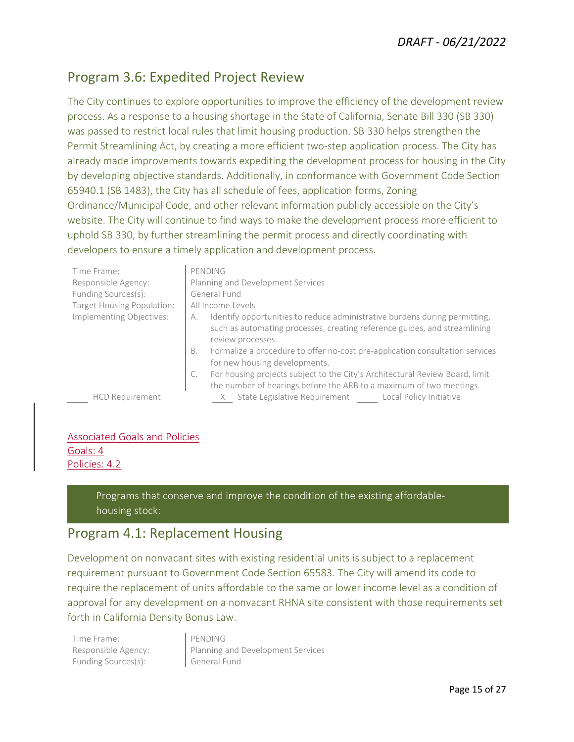#### Program 3.6: Expedited Project Review

The City continues to explore opportunities to improve the efficiency of the development review process. As a response to a housing shortage in the State of California, Senate Bill 330 (SB 330) was passed to restrict local rules that limit housing production. SB 330 helps strengthen the Permit Streamlining Act, by creating a more efficient two-step application process. The City has already made improvements towards expediting the development process for housing in the City by developing objective standards. Additionally, in conformance with Government Code Section 65940.1 (SB 1483), the City has all schedule of fees, application forms, Zoning Ordinance/Municipal Code, and other relevant information publicly accessible on the City's website. The City will continue to find ways to make the development process more efficient to uphold SB 330, by further streamlining the permit process and directly coordinating with developers to ensure a timely application and development process.

| Time Frame:                | PENDING                                                                                                                                                                            |
|----------------------------|------------------------------------------------------------------------------------------------------------------------------------------------------------------------------------|
| Responsible Agency:        | Planning and Development Services                                                                                                                                                  |
| Funding Sources(s):        | General Fund                                                                                                                                                                       |
| Target Housing Population: | All Income Levels                                                                                                                                                                  |
| Implementing Objectives:   | Identify opportunities to reduce administrative burdens during permitting,<br>А.<br>such as automating processes, creating reference guides, and streamlining<br>review processes. |
|                            | Formalize a procedure to offer no-cost pre-application consultation services<br>В.<br>for new housing developments.                                                                |
|                            | For housing projects subject to the City's Architectural Review Board, limit<br>the number of hearings before the ARB to a maximum of two meetings.                                |
| <b>HCD Requirement</b>     | State Legislative Requirement Local Policy Initiative<br>X                                                                                                                         |

#### Associated Goals and Policies Goals: 4 Policies: 4.2

Programs that conserve and improve the condition of the existing affordablehousing stock:

#### Program 4.1: Replacement Housing

Development on nonvacant sites with existing residential units is subject to a replacement requirement pursuant to Government Code Section 65583. The City will amend its code to require the replacement of units affordable to the same or lower income level as a condition of approval for any development on a nonvacant RHNA site consistent with those requirements set forth in California Density Bonus Law.

Time Frame: PENDING Funding Sources(s): General Fund

Responsible Agency: Planning and Development Services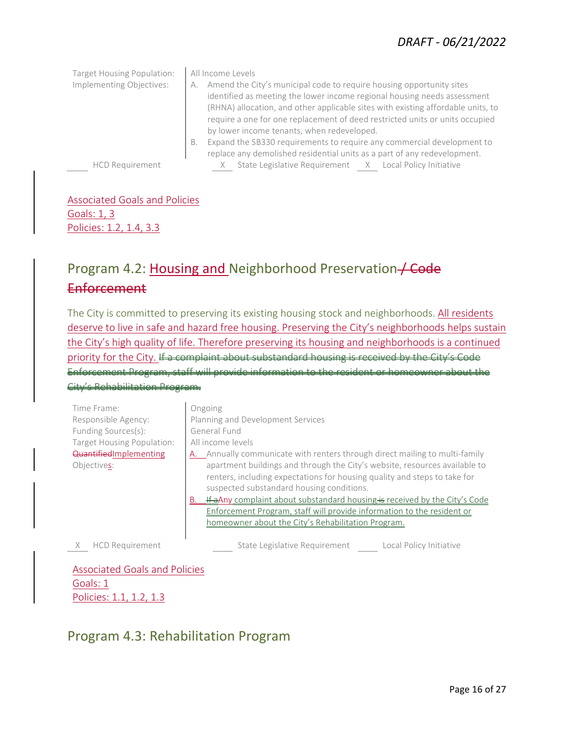Target Housing Population: | All Income Levels Implementing Objectives:  $\begin{vmatrix} A & \text{Amend the City's municipal code to require housing opportunity sites} \end{vmatrix}$ identified as meeting the lower income regional housing needs assessment (RHNA) allocation, and other applicable sites with existing affordable units, to require a one for one replacement of deed restricted units or units occupied by lower income tenants, when redeveloped. B. Expand the SB330 requirements to require any commercial development to replace any demolished residential units as a part of any redevelopment. HCD Requirement X State Legislative Requirement X Local Policy Initiative

#### Associated Goals and Policies Goals: 1, 3 Policies: 1.2, 1.4, 3.3

## Program 4.2: Housing and Neighborhood Preservation / Code Enforcement

The City is committed to preserving its existing housing stock and neighborhoods. All residents deserve to live in safe and hazard free housing. Preserving the City's neighborhoods helps sustain the City's high quality of life. Therefore preserving its housing and neighborhoods is a continued priority for the City. If a complaint about substandard housing is received by the City's Enforcement Program, staff will provide information to the resident

City's Rehabilitation Program.

| Time Frame:<br>Responsible Agency:<br>Funding Sources(s):<br>Target Housing Population:<br>QuantifiedImplementing<br>Objectives: | Ongoing<br>Planning and Development Services<br>General Fund<br>All income levels<br>A. Annually communicate with renters through direct mailing to multi-family<br>apartment buildings and through the City's website, resources available to<br>renters, including expectations for housing quality and steps to take for<br>suspected substandard housing conditions.<br>If a Any complaint about substandard housing is received by the City's Code<br>В.<br>Enforcement Program, staff will provide information to the resident or<br>homeowner about the City's Rehabilitation Program. |
|----------------------------------------------------------------------------------------------------------------------------------|-----------------------------------------------------------------------------------------------------------------------------------------------------------------------------------------------------------------------------------------------------------------------------------------------------------------------------------------------------------------------------------------------------------------------------------------------------------------------------------------------------------------------------------------------------------------------------------------------|
| <b>HCD Requirement</b>                                                                                                           | State Legislative Requirement<br>Local Policy Initiative                                                                                                                                                                                                                                                                                                                                                                                                                                                                                                                                      |

Associated Goals and Policies Goals: 1 Policies: 1.1, 1.2, 1.3

#### Program 4.3: Rehabilitation Program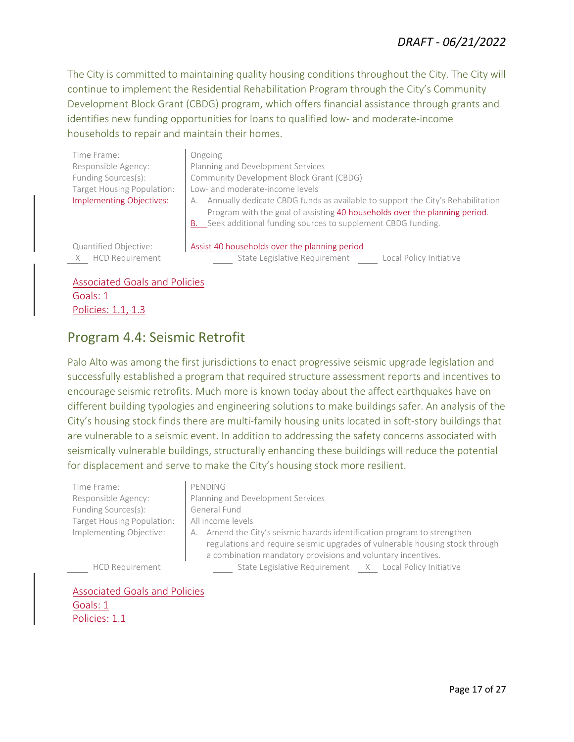#### *DRAFT - 06/21/2022*

The City is committed to maintaining quality housing conditions throughout the City. The City will continue to implement the Residential Rehabilitation Program through the City's Community Development Block Grant (CBDG) program, which offers financial assistance through grants and identifies new funding opportunities for loans to qualified low- and moderate-income households to repair and maintain their homes.

Assist 40 households over the planning period

Time Frame: and Dongoing Implementing Objectives:

Responsible Agency: Planning and Development Services Funding Sources(s): Community Development Block Grant (CBDG) Target Housing Population: | Low- and moderate-income levels A. Annually dedicate CBDG funds as available to support the City's Rehabilitation Program with the goal of assisting 40 households over the planning period. B. Seek additional funding sources to supplement CBDG funding.

Quantified Objective: X HCD Requirement State Legislative Requirement Local Policy Initiative

Associated Goals and Policies Goals: 1 Policies: 1.1, 1.3

#### Program 4.4: Seismic Retrofit

Palo Alto was among the first jurisdictions to enact progressive seismic upgrade legislation and successfully established a program that required structure assessment reports and incentives to encourage seismic retrofits. Much more is known today about the affect earthquakes have on different building typologies and engineering solutions to make buildings safer. An analysis of the City's housing stock finds there are multi-family housing units located in soft-story buildings that are vulnerable to a seismic event. In addition to addressing the safety concerns associated with seismically vulnerable buildings, structurally enhancing these buildings will reduce the potential for displacement and serve to make the City's housing stock more resilient.

Time Frame: PENDING Responsible Agency: Funding Sources(s): Target Housing Population: Implementing Objective:

|                                                              | Planning and Development Services                                            |  |
|--------------------------------------------------------------|------------------------------------------------------------------------------|--|
|                                                              | General Fund                                                                 |  |
|                                                              | All income levels                                                            |  |
|                                                              | A. Amend the City's seismic hazards identification program to strengthen     |  |
|                                                              | regulations and require seismic upgrades of vulnerable housing stock through |  |
| a combination mandatory provisions and voluntary incentives. |                                                                              |  |
|                                                              | State Legislative Requirement X Local Policy Initiative                      |  |

HCD Requirement

Associated Goals and Policies Goals: 1 Policies: 1.1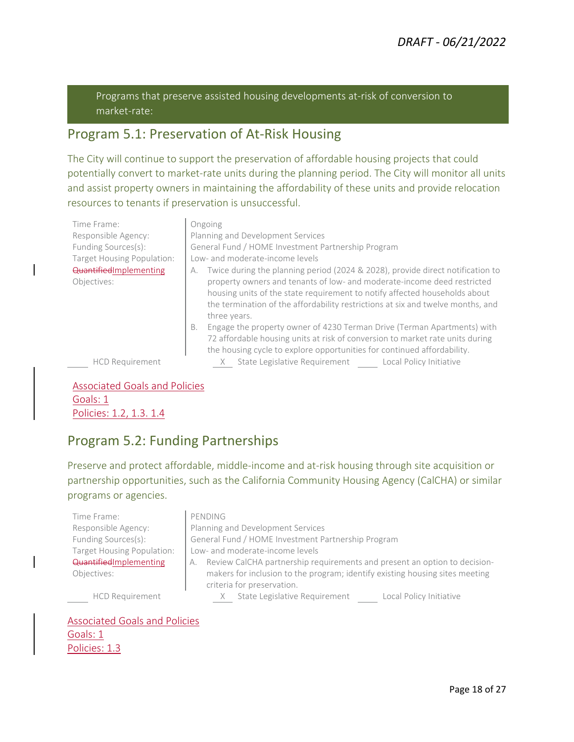Programs that preserve assisted housing developments at-risk of conversion to market-rate:

#### Program 5.1: Preservation of At-Risk Housing

The City will continue to support the preservation of affordable housing projects that could potentially convert to market-rate units during the planning period. The City will monitor all units and assist property owners in maintaining the affordability of these units and provide relocation resources to tenants if preservation is unsuccessful.

| Time Frame:<br>Responsible Agency:<br>Funding Sources(s):<br>Target Housing Population:<br>QuantifiedImplementing<br>Objectives: | Ongoing<br>Planning and Development Services<br>General Fund / HOME Investment Partnership Program<br>Low- and moderate-income levels<br>Twice during the planning period (2024 & 2028), provide direct notification to<br>property owners and tenants of low- and moderate-income deed restricted<br>housing units of the state requirement to notify affected households about<br>the termination of the affordability restrictions at six and twelve months, and<br>three years. |
|----------------------------------------------------------------------------------------------------------------------------------|-------------------------------------------------------------------------------------------------------------------------------------------------------------------------------------------------------------------------------------------------------------------------------------------------------------------------------------------------------------------------------------------------------------------------------------------------------------------------------------|
| <b>HCD Requirement</b>                                                                                                           | Engage the property owner of 4230 Terman Drive (Terman Apartments) with<br>В.<br>72 affordable housing units at risk of conversion to market rate units during<br>the housing cycle to explore opportunities for continued affordability.<br>X State Legislative Requirement Local Policy Initiative                                                                                                                                                                                |

Associated Goals and Policies Goals: 1 Policies: 1.2, 1.3. 1.4

#### Program 5.2: Funding Partnerships

Preserve and protect affordable, middle-income and at-risk housing through site acquisition or partnership opportunities, such as the California Community Housing Agency (CalCHA) or similar programs or agencies.

| Time Frame:                | PENDING                                                                         |
|----------------------------|---------------------------------------------------------------------------------|
| Responsible Agency:        | Planning and Development Services                                               |
| Funding Sources(s):        | General Fund / HOME Investment Partnership Program                              |
| Target Housing Population: | Low- and moderate-income levels                                                 |
| Quantified Implementing    | Review CalCHA partnership requirements and present an option to decision-<br>А. |
| Objectives:                | makers for inclusion to the program; identify existing housing sites meeting    |
|                            | criteria for preservation.                                                      |
| <b>HCD Requirement</b>     | State Legislative Requirement<br>Local Policy Initiative                        |

#### Associated Goals and Policies Goals: 1 Policies: 1.3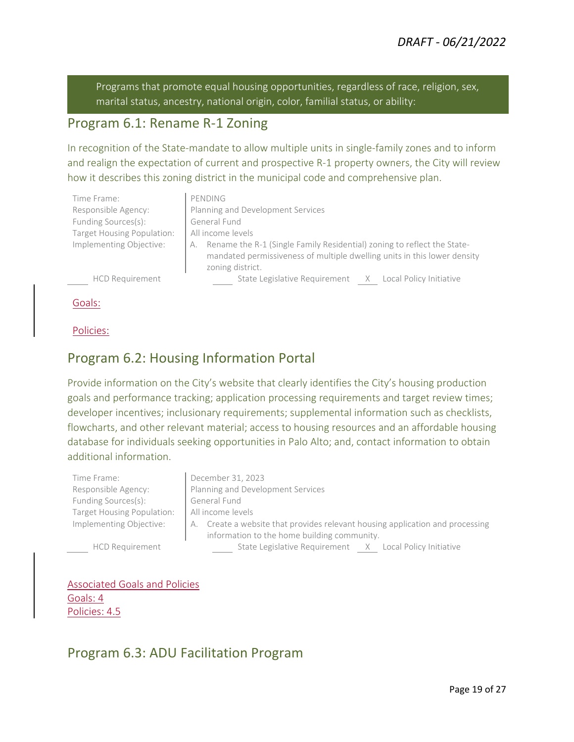Programs that promote equal housing opportunities, regardless of race, religion, sex, marital status, ancestry, national origin, color, familial status, or ability:

#### Program 6.1: Rename R-1 Zoning

In recognition of the State-mandate to allow multiple units in single-family zones and to inform and realign the expectation of current and prospective R-1 property owners, the City will review how it describes this zoning district in the municipal code and comprehensive plan.

| Time Frame:                | PENDING                                                                       |
|----------------------------|-------------------------------------------------------------------------------|
| Responsible Agency:        | Planning and Development Services                                             |
| Funding Sources(s):        | General Fund                                                                  |
| Target Housing Population: | All income levels                                                             |
| Implementing Objective:    | Rename the R-1 (Single Family Residential) zoning to reflect the State-<br>A. |
|                            | mandated permissiveness of multiple dwelling units in this lower density      |
|                            | zoning district.                                                              |
| <b>HCD Requirement</b>     | State Legislative Requirement X Local Policy Initiative                       |

Goals:

Policies:

#### Program 6.2: Housing Information Portal

Provide information on the City's website that clearly identifies the City's housing production goals and performance tracking; application processing requirements and target review times; developer incentives; inclusionary requirements; supplemental information such as checklists, flowcharts, and other relevant material; access to housing resources and an affordable housing database for individuals seeking opportunities in Palo Alto; and, contact information to obtain additional information.

| Time Frame:                | December 31, 2023                                                                |
|----------------------------|----------------------------------------------------------------------------------|
| Responsible Agency:        | Planning and Development Services                                                |
| Funding Sources(s):        | General Fund                                                                     |
| Target Housing Population: | All income levels                                                                |
| Implementing Objective:    | Create a website that provides relevant housing application and processing<br>А. |
|                            | information to the home building community.                                      |
| <b>HCD Requirement</b>     | State Legislative Requirement X Local Policy Initiative                          |

Associated Goals and Policies Goals: 4

Policies: 4.5

#### Program 6.3: ADU Facilitation Program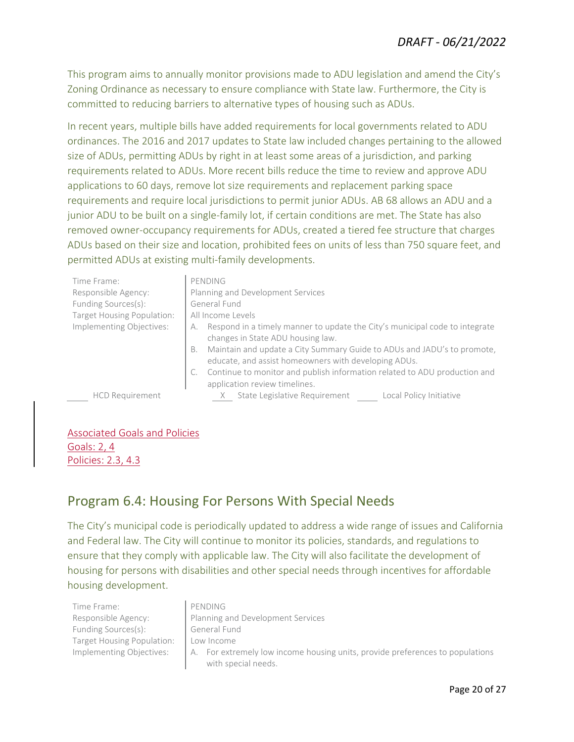This program aims to annually monitor provisions made to ADU legislation and amend the City's Zoning Ordinance as necessary to ensure compliance with State law. Furthermore, the City is committed to reducing barriers to alternative types of housing such as ADUs.

In recent years, multiple bills have added requirements for local governments related to ADU ordinances. The 2016 and 2017 updates to State law included changes pertaining to the allowed size of ADUs, permitting ADUs by right in at least some areas of a jurisdiction, and parking requirements related to ADUs. More recent bills reduce the time to review and approve ADU applications to 60 days, remove lot size requirements and replacement parking space requirements and require local jurisdictions to permit junior ADUs. AB 68 allows an ADU and a junior ADU to be built on a single-family lot, if certain conditions are met. The State has also removed owner-occupancy requirements for ADUs, created a tiered fee structure that charges ADUs based on their size and location, prohibited fees on units of less than 750 square feet, and permitted ADUs at existing multi-family developments.

| Time Frame:                | PENDING                                                                                                                               |
|----------------------------|---------------------------------------------------------------------------------------------------------------------------------------|
| Responsible Agency:        | Planning and Development Services                                                                                                     |
| Funding Sources(s):        | General Fund                                                                                                                          |
| Target Housing Population: | All Income Levels                                                                                                                     |
| Implementing Objectives:   | Respond in a timely manner to update the City's municipal code to integrate<br>changes in State ADU housing law.                      |
|                            | Maintain and update a City Summary Guide to ADUs and JADU's to promote,<br>B.<br>educate, and assist homeowners with developing ADUs. |
|                            | Continue to monitor and publish information related to ADU production and<br>application review timelines.                            |
| <b>HCD Requirement</b>     | State Legislative Requirement<br>Local Policy Initiative                                                                              |

#### Associated Goals and Policies Goals: 2, 4

Policies: 2.3, 4.3

#### Program 6.4: Housing For Persons With Special Needs

The City's municipal code is periodically updated to address a wide range of issues and California and Federal law. The City will continue to monitor its policies, standards, and regulations to ensure that they comply with applicable law. The City will also facilitate the development of housing for persons with disabilities and other special needs through incentives for affordable housing development.

| Time Frame:                | PENDING                                                                       |
|----------------------------|-------------------------------------------------------------------------------|
| Responsible Agency:        | Planning and Development Services                                             |
| Funding Sources(s):        | General Fund                                                                  |
| Target Housing Population: | Low Income                                                                    |
| Implementing Objectives:   | A. For extremely low income housing units, provide preferences to populations |
|                            | with special needs.                                                           |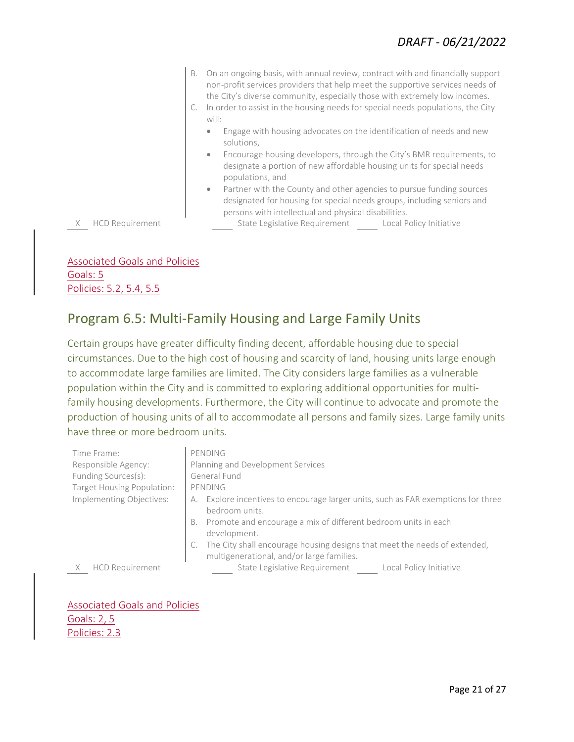B. On an ongoing basis, with annual review, contract with and financially support non-profit services providers that help meet the supportive services needs of the City's diverse community, especially those with extremely low incomes. C. In order to assist in the housing needs for special needs populations, the City will: • Engage with housing advocates on the identification of needs and new solutions, • Encourage housing developers, through the City's BMR requirements, to designate a portion of new affordable housing units for special needs populations, and Partner with the County and other agencies to pursue funding sources designated for housing for special needs groups, including seniors and persons with intellectual and physical disabilities. X HCD Requirement State Legislative Requirement Local Policy Initiative

Associated Goals and Policies Goals: 5 Policies: 5.2, 5.4, 5.5

#### Program 6.5: Multi-Family Housing and Large Family Units

Certain groups have greater difficulty finding decent, affordable housing due to special circumstances. Due to the high cost of housing and scarcity of land, housing units large enough to accommodate large families are limited. The City considers large families as a vulnerable population within the City and is committed to exploring additional opportunities for multifamily housing developments. Furthermore, the City will continue to advocate and promote the production of housing units of all to accommodate all persons and family sizes. Large family units have three or more bedroom units.

| Time Frame:                | PENDING                                                                                                                |
|----------------------------|------------------------------------------------------------------------------------------------------------------------|
| Responsible Agency:        | Planning and Development Services                                                                                      |
| Funding Sources(s):        | General Fund                                                                                                           |
| Target Housing Population: | PENDING                                                                                                                |
| Implementing Objectives:   | Explore incentives to encourage larger units, such as FAR exemptions for three<br>А.<br>bedroom units.                 |
|                            | B. Promote and encourage a mix of different bedroom units in each<br>development.                                      |
|                            | The City shall encourage housing designs that meet the needs of extended,<br>multigenerational, and/or large families. |
| <b>HCD Requirement</b>     | State Legislative Requirement<br>Local Policy Initiative                                                               |

Associated Goals and Policies Goals: 2, 5 Policies: 2.3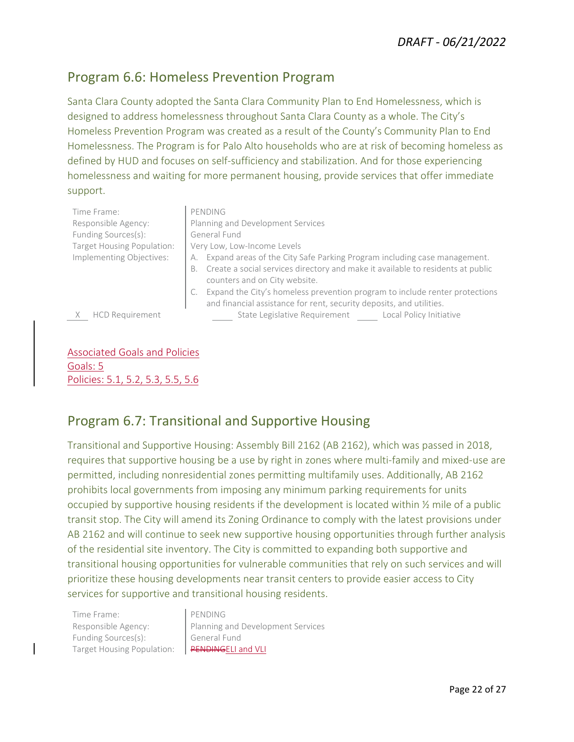#### Program 6.6: Homeless Prevention Program

Santa Clara County adopted the Santa Clara Community Plan to End Homelessness, which is designed to address homelessness throughout Santa Clara County as a whole. The City's Homeless Prevention Program was created as a result of the County's Community Plan to End Homelessness. The Program is for Palo Alto households who are at risk of becoming homeless as defined by HUD and focuses on self-sufficiency and stabilization. And for those experiencing homelessness and waiting for more permanent housing, provide services that offer immediate support.

| Time Frame:                | PENDING                                                                               |
|----------------------------|---------------------------------------------------------------------------------------|
| Responsible Agency:        | Planning and Development Services                                                     |
| Funding Sources(s):        | General Fund                                                                          |
| Target Housing Population: | Very Low, Low-Income Levels                                                           |
| Implementing Objectives:   | Expand areas of the City Safe Parking Program including case management.              |
|                            | Create a social services directory and make it available to residents at public<br>В. |
|                            | counters and on City website.                                                         |
|                            | Expand the City's homeless prevention program to include renter protections           |
|                            | and financial assistance for rent, security deposits, and utilities.                  |
| <b>HCD Requirement</b>     | State Legislative Requirement<br>Local Policy Initiative                              |

Associated Goals and Policies Goals: 5 Policies: 5.1, 5.2, 5.3, 5.5, 5.6

#### Program 6.7: Transitional and Supportive Housing

Transitional and Supportive Housing: Assembly Bill 2162 (AB 2162), which was passed in 2018, requires that supportive housing be a use by right in zones where multi-family and mixed-use are permitted, including nonresidential zones permitting multifamily uses. Additionally, AB 2162 prohibits local governments from imposing any minimum parking requirements for units occupied by supportive housing residents if the development is located within ½ mile of a public transit stop. The City will amend its Zoning Ordinance to comply with the latest provisions under AB 2162 and will continue to seek new supportive housing opportunities through further analysis of the residential site inventory. The City is committed to expanding both supportive and transitional housing opportunities for vulnerable communities that rely on such services and will prioritize these housing developments near transit centers to provide easier access to City services for supportive and transitional housing residents.

Time Frame: PENDING Funding Sources(s): General Fund Target Housing Population: | PENDINGELI and VLI

Responsible Agency: <br> Planning and Development Services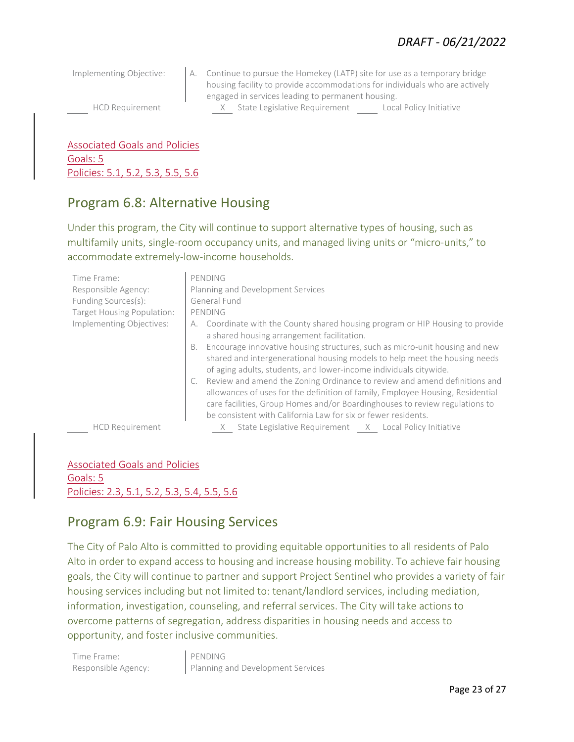Implementing Objective: A. Continue to pursue the Homekey (LATP) site for use as a temporary bridge housing facility to provide accommodations for individuals who are actively engaged in services leading to permanent housing. HCD Requirement X State Legislative Requirement Local Policy Initiative

Associated Goals and Policies Goals: 5 Policies: 5.1, 5.2, 5.3, 5.5, 5.6

#### Program 6.8: Alternative Housing

Under this program, the City will continue to support alternative types of housing, such as multifamily units, single-room occupancy units, and managed living units or "micro-units," to accommodate extremely-low-income households.

| Time Frame:                | PENDING                                                                                                                                                                                                                                                                                                     |
|----------------------------|-------------------------------------------------------------------------------------------------------------------------------------------------------------------------------------------------------------------------------------------------------------------------------------------------------------|
| Responsible Agency:        | Planning and Development Services                                                                                                                                                                                                                                                                           |
| Funding Sources(s):        | General Fund                                                                                                                                                                                                                                                                                                |
| Target Housing Population: | PENDING                                                                                                                                                                                                                                                                                                     |
| Implementing Objectives:   | A. Coordinate with the County shared housing program or HIP Housing to provide<br>a shared housing arrangement facilitation.                                                                                                                                                                                |
|                            | B. Encourage innovative housing structures, such as micro-unit housing and new<br>shared and intergenerational housing models to help meet the housing needs<br>of aging adults, students, and lower-income individuals citywide.                                                                           |
|                            | Review and amend the Zoning Ordinance to review and amend definitions and<br>allowances of uses for the definition of family, Employee Housing, Residential<br>care facilities, Group Homes and/or Boardinghouses to review regulations to<br>be consistent with California Law for six or fewer residents. |
| <b>HCD Requirement</b>     | State Legislative Requirement X Local Policy Initiative                                                                                                                                                                                                                                                     |

Associated Goals and Policies Goals: 5 Policies: 2.3, 5.1, 5.2, 5.3, 5.4, 5.5, 5.6

#### Program 6.9: Fair Housing Services

The City of Palo Alto is committed to providing equitable opportunities to all residents of Palo Alto in order to expand access to housing and increase housing mobility. To achieve fair housing goals, the City will continue to partner and support Project Sentinel who provides a variety of fair housing services including but not limited to: tenant/landlord services, including mediation, information, investigation, counseling, and referral services. The City will take actions to overcome patterns of segregation, address disparities in housing needs and access to opportunity, and foster inclusive communities.

Time Frame: PENDING

Responsible Agency: Planning and Development Services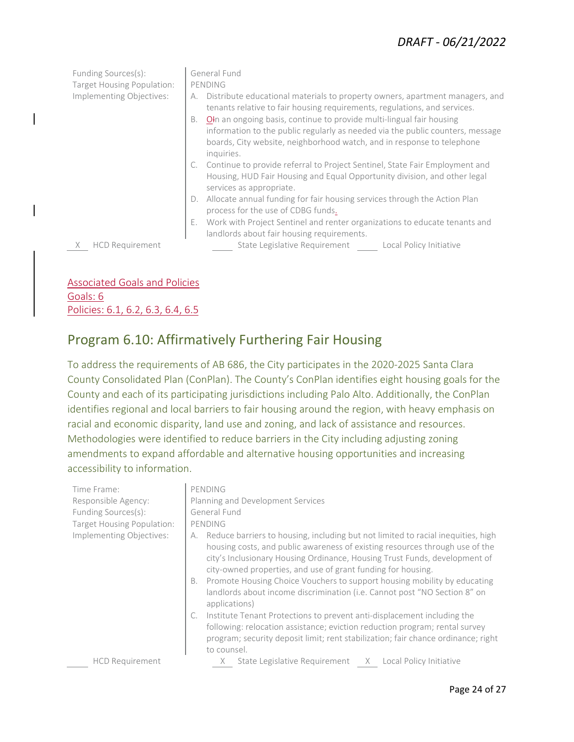#### *DRAFT - 06/21/2022*

| Funding Sources(s):<br>Target Housing Population:<br>Implementing Objectives: | General Fund<br>PENDING<br>Distribute educational materials to property owners, apartment managers, and<br>А.<br>tenants relative to fair housing requirements, regulations, and services.<br>OIn an ongoing basis, continue to provide multi-lingual fair housing<br><b>B.</b><br>information to the public regularly as needed via the public counters, message<br>boards, City website, neighborhood watch, and in response to telephone<br>inquiries. |
|-------------------------------------------------------------------------------|-----------------------------------------------------------------------------------------------------------------------------------------------------------------------------------------------------------------------------------------------------------------------------------------------------------------------------------------------------------------------------------------------------------------------------------------------------------|
|                                                                               | Continue to provide referral to Project Sentinel, State Fair Employment and<br>Housing, HUD Fair Housing and Equal Opportunity division, and other legal<br>services as appropriate.                                                                                                                                                                                                                                                                      |
|                                                                               | Allocate annual funding for fair housing services through the Action Plan<br>process for the use of CDBG funds.                                                                                                                                                                                                                                                                                                                                           |
|                                                                               | Work with Project Sentinel and renter organizations to educate tenants and<br>landlords about fair housing requirements.                                                                                                                                                                                                                                                                                                                                  |
| <b>HCD Requirement</b>                                                        | State Legislative Requirement Local Policy Initiative                                                                                                                                                                                                                                                                                                                                                                                                     |
|                                                                               |                                                                                                                                                                                                                                                                                                                                                                                                                                                           |

Associated Goals and Policies Goals: 6 Policies: 6.1, 6.2, 6.3, 6.4, 6.5

#### Program 6.10: Affirmatively Furthering Fair Housing

To address the requirements of AB 686, the City participates in the 2020-2025 Santa Clara County Consolidated Plan (ConPlan). The County's ConPlan identifies eight housing goals for the County and each of its participating jurisdictions including Palo Alto. Additionally, the ConPlan identifies regional and local barriers to fair housing around the region, with heavy emphasis on racial and economic disparity, land use and zoning, and lack of assistance and resources. Methodologies were identified to reduce barriers in the City including adjusting zoning amendments to expand affordable and alternative housing opportunities and increasing accessibility to information.

| Time Frame:                | PENDING                                                                                                                                                                                                                                                                                                                                                                                                                                                                                              |
|----------------------------|------------------------------------------------------------------------------------------------------------------------------------------------------------------------------------------------------------------------------------------------------------------------------------------------------------------------------------------------------------------------------------------------------------------------------------------------------------------------------------------------------|
| Responsible Agency:        | Planning and Development Services                                                                                                                                                                                                                                                                                                                                                                                                                                                                    |
| Funding Sources(s):        | General Fund                                                                                                                                                                                                                                                                                                                                                                                                                                                                                         |
| Target Housing Population: | PENDING                                                                                                                                                                                                                                                                                                                                                                                                                                                                                              |
| Implementing Objectives:   | Reduce barriers to housing, including but not limited to racial inequities, high<br>А.<br>housing costs, and public awareness of existing resources through use of the<br>city's Inclusionary Housing Ordinance, Housing Trust Funds, development of<br>city-owned properties, and use of grant funding for housing.<br>Promote Housing Choice Vouchers to support housing mobility by educating<br>В.<br>landlords about income discrimination (i.e. Cannot post "NO Section 8" on<br>applications) |
|                            | Institute Tenant Protections to prevent anti-displacement including the<br>following: relocation assistance; eviction reduction program; rental survey<br>program; security deposit limit; rent stabilization; fair chance ordinance; right<br>to counsel.                                                                                                                                                                                                                                           |
| <b>HCD Requirement</b>     | State Legislative Requirement X Local Policy Initiative                                                                                                                                                                                                                                                                                                                                                                                                                                              |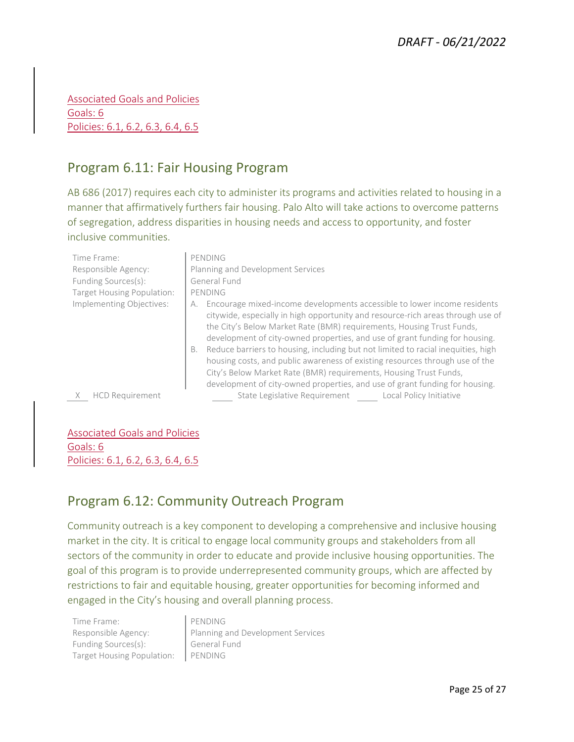Associated Goals and Policies Goals: 6 Policies: 6.1, 6.2, 6.3, 6.4, 6.5

#### Program 6.11: Fair Housing Program

AB 686 (2017) requires each city to administer its programs and activities related to housing in a manner that affirmatively furthers fair housing. Palo Alto will take actions to overcome patterns of segregation, address disparities in housing needs and access to opportunity, and foster inclusive communities.

| Time Frame:<br>Responsible Agency:<br>Funding Sources(s):<br>Target Housing Population: | PENDING<br>Planning and Development Services<br>General Fund<br>PENDING                                                                                                                                                                                                                                                                                                                                                                                                                                                                                                                                                                                 |
|-----------------------------------------------------------------------------------------|---------------------------------------------------------------------------------------------------------------------------------------------------------------------------------------------------------------------------------------------------------------------------------------------------------------------------------------------------------------------------------------------------------------------------------------------------------------------------------------------------------------------------------------------------------------------------------------------------------------------------------------------------------|
| Implementing Objectives:                                                                | Encourage mixed-income developments accessible to lower income residents<br>А.<br>citywide, especially in high opportunity and resource-rich areas through use of<br>the City's Below Market Rate (BMR) requirements, Housing Trust Funds,<br>development of city-owned properties, and use of grant funding for housing.<br>Reduce barriers to housing, including but not limited to racial inequities, high<br>B.<br>housing costs, and public awareness of existing resources through use of the<br>City's Below Market Rate (BMR) requirements, Housing Trust Funds,<br>development of city-owned properties, and use of grant funding for housing. |
| <b>HCD Requirement</b>                                                                  | State Legislative Requirement<br>Local Policy Initiative                                                                                                                                                                                                                                                                                                                                                                                                                                                                                                                                                                                                |

Associated Goals and Policies Goals: 6 Policies: 6.1, 6.2, 6.3, 6.4, 6.5

#### Program 6.12: Community Outreach Program

Community outreach is a key component to developing a comprehensive and inclusive housing market in the city. It is critical to engage local community groups and stakeholders from all sectors of the community in order to educate and provide inclusive housing opportunities. The goal of this program is to provide underrepresented community groups, which are affected by restrictions to fair and equitable housing, greater opportunities for becoming informed and engaged in the City's housing and overall planning process.

Time Frame: PENDING Funding Sources(s): General Fund Target Housing Population: | PENDING

Responsible Agency: Planning and Development Services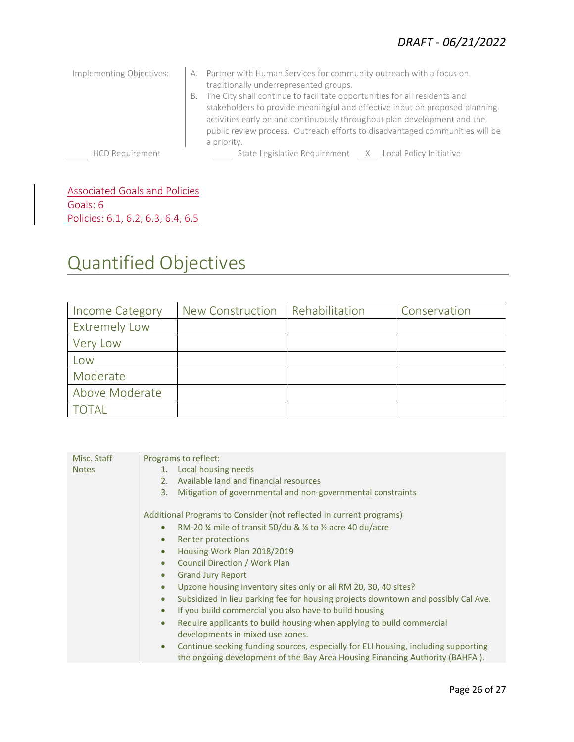| Implementing Objectives: | A. Partner with Human Services for community outreach with a focus on<br>traditionally underrepresented groups.<br>The City shall continue to facilitate opportunities for all residents and<br>В.<br>stakeholders to provide meaningful and effective input on proposed planning<br>activities early on and continuously throughout plan development and the<br>public review process. Outreach efforts to disadvantaged communities will be<br>a priority. |
|--------------------------|--------------------------------------------------------------------------------------------------------------------------------------------------------------------------------------------------------------------------------------------------------------------------------------------------------------------------------------------------------------------------------------------------------------------------------------------------------------|
| <b>HCD Requirement</b>   | State Legislative Requirement X Local Policy Initiative                                                                                                                                                                                                                                                                                                                                                                                                      |

Associated Goals and Policies Goals: 6 Policies: 6.1, 6.2, 6.3, 6.4, 6.5

# Quantified Objectives

| Income Category      | New Construction | Rehabilitation | Conservation |
|----------------------|------------------|----------------|--------------|
| <b>Extremely Low</b> |                  |                |              |
| Very Low             |                  |                |              |
| Low                  |                  |                |              |
| Moderate             |                  |                |              |
| Above Moderate       |                  |                |              |
| <b>TOTAL</b>         |                  |                |              |

| Local housing needs<br><b>Notes</b><br>1.                                                                                                                                       |  |
|---------------------------------------------------------------------------------------------------------------------------------------------------------------------------------|--|
|                                                                                                                                                                                 |  |
| Available land and financial resources<br>2.1                                                                                                                                   |  |
| Mitigation of governmental and non-governmental constraints<br>3.                                                                                                               |  |
| Additional Programs to Consider (not reflected in current programs)                                                                                                             |  |
| RM-20 $\frac{1}{4}$ mile of transit 50/du & $\frac{1}{4}$ to $\frac{1}{2}$ acre 40 du/acre<br>$\bullet$                                                                         |  |
| Renter protections<br>$\bullet$                                                                                                                                                 |  |
| Housing Work Plan 2018/2019<br>$\bullet$                                                                                                                                        |  |
| Council Direction / Work Plan<br>$\bullet$                                                                                                                                      |  |
| <b>Grand Jury Report</b><br>$\bullet$                                                                                                                                           |  |
| Upzone housing inventory sites only or all RM 20, 30, 40 sites?<br>$\bullet$                                                                                                    |  |
| Subsidized in lieu parking fee for housing projects downtown and possibly Cal Ave.<br>$\bullet$                                                                                 |  |
| If you build commercial you also have to build housing<br>$\bullet$                                                                                                             |  |
| Require applicants to build housing when applying to build commercial<br>$\bullet$                                                                                              |  |
| developments in mixed use zones.                                                                                                                                                |  |
| Continue seeking funding sources, especially for ELI housing, including supporting<br>$\bullet$<br>the ongoing development of the Bay Area Housing Financing Authority (BAHFA). |  |